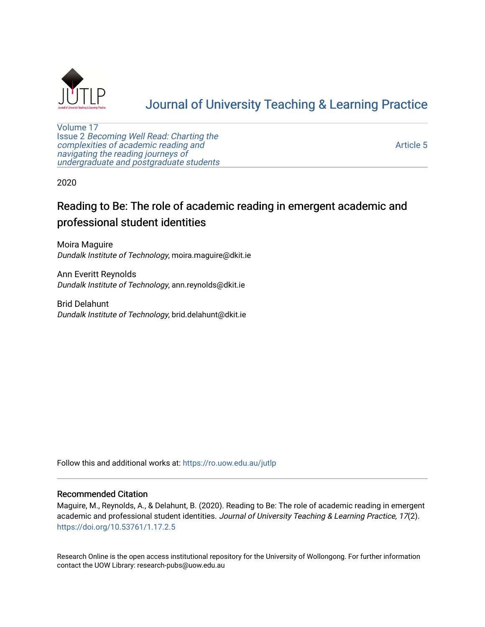

## [Journal of University Teaching & Learning Practice](https://ro.uow.edu.au/jutlp)

[Volume 17](https://ro.uow.edu.au/jutlp/vol17) Issue 2 [Becoming Well Read: Charting the](https://ro.uow.edu.au/jutlp/vol17/iss2) [complexities of academic reading and](https://ro.uow.edu.au/jutlp/vol17/iss2)  [navigating the reading journeys of](https://ro.uow.edu.au/jutlp/vol17/iss2) [undergraduate and postgraduate students](https://ro.uow.edu.au/jutlp/vol17/iss2)

[Article 5](https://ro.uow.edu.au/jutlp/vol17/iss2/5) 

2020

### Reading to Be: The role of academic reading in emergent academic and professional student identities

Moira Maguire Dundalk Institute of Technology, moira.maguire@dkit.ie

Ann Everitt Reynolds Dundalk Institute of Technology, ann.reynolds@dkit.ie

Brid Delahunt Dundalk Institute of Technology, brid.delahunt@dkit.ie

Follow this and additional works at: [https://ro.uow.edu.au/jutlp](https://ro.uow.edu.au/jutlp?utm_source=ro.uow.edu.au%2Fjutlp%2Fvol17%2Fiss2%2F5&utm_medium=PDF&utm_campaign=PDFCoverPages) 

#### Recommended Citation

Maguire, M., Reynolds, A., & Delahunt, B. (2020). Reading to Be: The role of academic reading in emergent academic and professional student identities. Journal of University Teaching & Learning Practice, 17(2). <https://doi.org/10.53761/1.17.2.5>

Research Online is the open access institutional repository for the University of Wollongong. For further information contact the UOW Library: research-pubs@uow.edu.au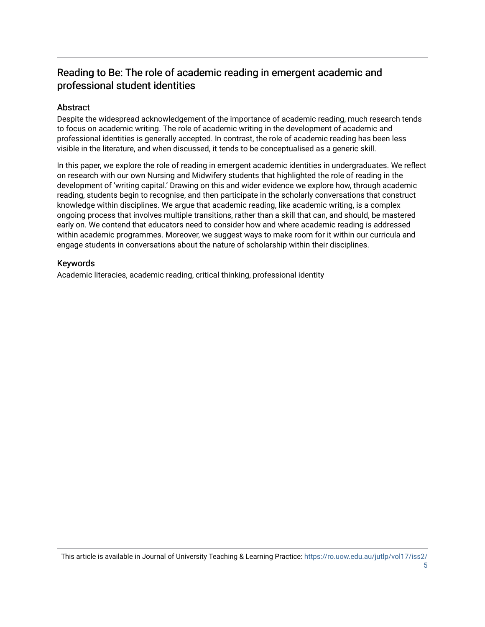### Reading to Be: The role of academic reading in emergent academic and professional student identities

### Abstract

Despite the widespread acknowledgement of the importance of academic reading, much research tends to focus on academic writing. The role of academic writing in the development of academic and professional identities is generally accepted. In contrast, the role of academic reading has been less visible in the literature, and when discussed, it tends to be conceptualised as a generic skill.

In this paper, we explore the role of reading in emergent academic identities in undergraduates. We reflect on research with our own Nursing and Midwifery students that highlighted the role of reading in the development of 'writing capital.' Drawing on this and wider evidence we explore how, through academic reading, students begin to recognise, and then participate in the scholarly conversations that construct knowledge within disciplines. We argue that academic reading, like academic writing, is a complex ongoing process that involves multiple transitions, rather than a skill that can, and should, be mastered early on. We contend that educators need to consider how and where academic reading is addressed within academic programmes. Moreover, we suggest ways to make room for it within our curricula and engage students in conversations about the nature of scholarship within their disciplines.

#### Keywords

Academic literacies, academic reading, critical thinking, professional identity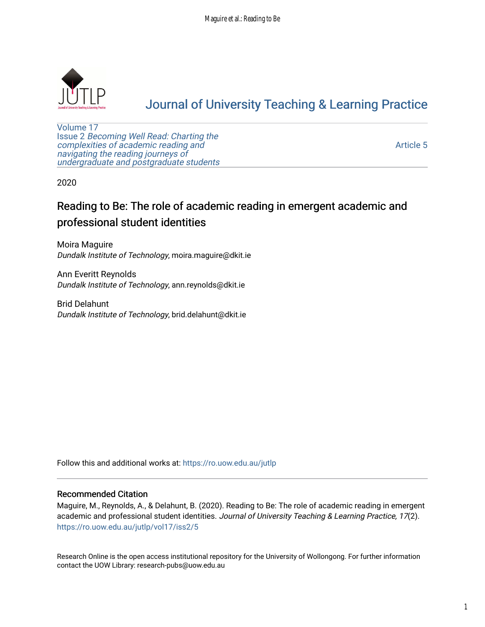

# [Journal of University Teaching & Learning Practice](https://ro.uow.edu.au/jutlp)

[Volume 17](https://ro.uow.edu.au/jutlp/vol17) Issue 2 [Becoming Well Read: Charting the](https://ro.uow.edu.au/jutlp/vol17/iss2) [complexities of academic reading and](https://ro.uow.edu.au/jutlp/vol17/iss2)  [navigating the reading journeys of](https://ro.uow.edu.au/jutlp/vol17/iss2) [undergraduate and postgraduate students](https://ro.uow.edu.au/jutlp/vol17/iss2)

[Article 5](https://ro.uow.edu.au/jutlp/vol17/iss2/5) 

2020

## Reading to Be: The role of academic reading in emergent academic and professional student identities

Moira Maguire Dundalk Institute of Technology, moira.maguire@dkit.ie

Ann Everitt Reynolds Dundalk Institute of Technology, ann.reynolds@dkit.ie

Brid Delahunt Dundalk Institute of Technology, brid.delahunt@dkit.ie

Follow this and additional works at: [https://ro.uow.edu.au/jutlp](https://ro.uow.edu.au/jutlp?utm_source=ro.uow.edu.au%2Fjutlp%2Fvol17%2Fiss2%2F5&utm_medium=PDF&utm_campaign=PDFCoverPages) 

#### Recommended Citation

Maguire, M., Reynolds, A., & Delahunt, B. (2020). Reading to Be: The role of academic reading in emergent academic and professional student identities. Journal of University Teaching & Learning Practice, 17(2). [https://ro.uow.edu.au/jutlp/vol17/iss2/5](https://ro.uow.edu.au/jutlp/vol17/iss2/5?utm_source=ro.uow.edu.au%2Fjutlp%2Fvol17%2Fiss2%2F5&utm_medium=PDF&utm_campaign=PDFCoverPages) 

Research Online is the open access institutional repository for the University of Wollongong. For further information contact the UOW Library: research-pubs@uow.edu.au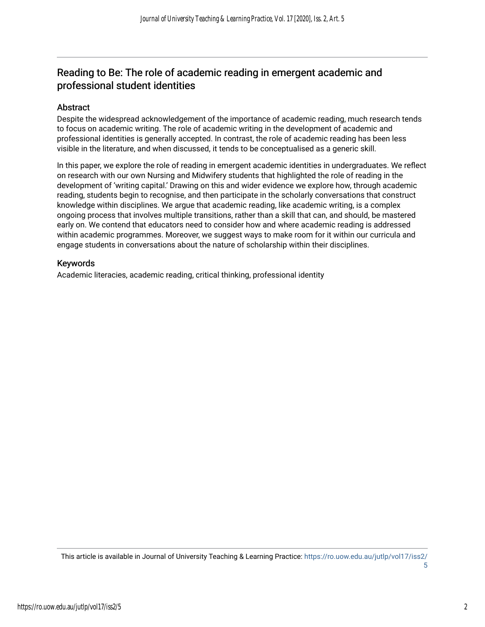### Reading to Be: The role of academic reading in emergent academic and professional student identities

#### Abstract

Despite the widespread acknowledgement of the importance of academic reading, much research tends to focus on academic writing. The role of academic writing in the development of academic and professional identities is generally accepted. In contrast, the role of academic reading has been less visible in the literature, and when discussed, it tends to be conceptualised as a generic skill.

In this paper, we explore the role of reading in emergent academic identities in undergraduates. We reflect on research with our own Nursing and Midwifery students that highlighted the role of reading in the development of 'writing capital.' Drawing on this and wider evidence we explore how, through academic reading, students begin to recognise, and then participate in the scholarly conversations that construct knowledge within disciplines. We argue that academic reading, like academic writing, is a complex ongoing process that involves multiple transitions, rather than a skill that can, and should, be mastered early on. We contend that educators need to consider how and where academic reading is addressed within academic programmes. Moreover, we suggest ways to make room for it within our curricula and engage students in conversations about the nature of scholarship within their disciplines.

#### Keywords

Academic literacies, academic reading, critical thinking, professional identity

This article is available in Journal of University Teaching & Learning Practice: [https://ro.uow.edu.au/jutlp/vol17/iss2/](https://ro.uow.edu.au/jutlp/vol17/iss2/5) [5](https://ro.uow.edu.au/jutlp/vol17/iss2/5)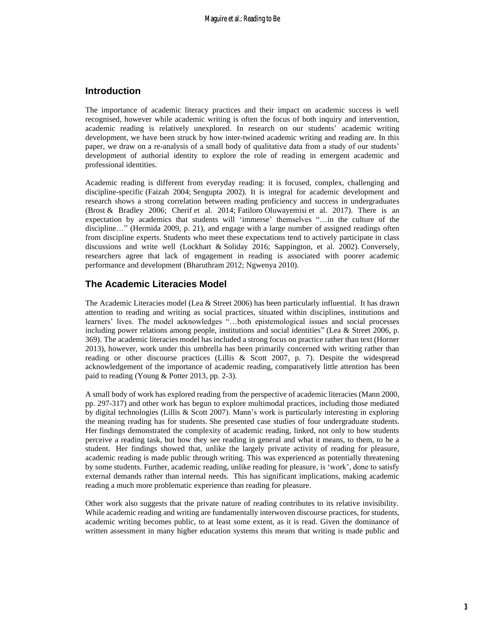#### **Introduction**

The importance of academic literacy practices and their impact on academic success is well recognised, however while academic writing is often the focus of both inquiry and intervention, academic reading is relatively unexplored. In research on our students' academic writing development, we have been struck by how inter-twined academic writing and reading are. In this paper, we draw on a re-analysis of a small body of qualitative data from a study of our students' development of authorial identity to explore the role of reading in emergent academic and professional identities.

Academic reading is different from everyday reading: it is focused, complex, challenging and discipline-specific (Faizah 2004; Sengupta 2002). It is integral for academic development and research shows a strong correlation between reading proficiency and success in undergraduates (Brost & Bradley 2006; Cherif et al. 2014; Fatiloro Oluwayemisi et al. 2017). There is an expectation by academics that students will 'immerse' themselves "…in the culture of the discipline…" (Hermida 2009, p. 21), and engage with a large number of assigned readings often from discipline experts. Students who meet these expectations tend to actively participate in class discussions and write well (Lockhart & Soliday 2016; Sappington, et al. 2002). Conversely, researchers agree that lack of engagement in reading is associated with poorer academic performance and development (Bharuthram 2012; Ngwenya 2010).

#### **The Academic Literacies Model**

The Academic Literacies model (Lea & Street 2006) has been particularly influential. It has drawn attention to reading and writing as social practices, situated within disciplines, institutions and learners' lives. The model acknowledges "…both epistemological issues and social processes including power relations among people, institutions and social identities" (Lea & Street 2006, p. 369). The academic literacies model has included a strong focus on practice rather than text (Horner 2013), however, work under this umbrella has been primarily concerned with writing rather than reading or other discourse practices (Lillis & Scott 2007, p. 7). Despite the widespread acknowledgement of the importance of academic reading, comparatively little attention has been paid to reading (Young & Potter 2013, pp. 2-3).

A small body of work has explored reading from the perspective of academic literacies (Mann 2000, pp. 297-317) and other work has begun to explore multimodal practices, including those mediated by digital technologies (Lillis & Scott 2007). Mann's work is particularly interesting in exploring the meaning reading has for students. She presented case studies of four undergraduate students. Her findings demonstrated the complexity of academic reading, linked, not only to how students perceive a reading task, but how they see reading in general and what it means, to them, to be a student. Her findings showed that, unlike the largely private activity of reading for pleasure, academic reading is made public through writing. This was experienced as potentially threatening by some students. Further, academic reading, unlike reading for pleasure, is 'work', done to satisfy external demands rather than internal needs. This has significant implications, making academic reading a much more problematic experience than reading for pleasure.

Other work also suggests that the private nature of reading contributes to its relative invisibility. While academic reading and writing are fundamentally interwoven discourse practices, for students, academic writing becomes public, to at least some extent, as it is read. Given the dominance of written assessment in many higher education systems this means that writing is made public and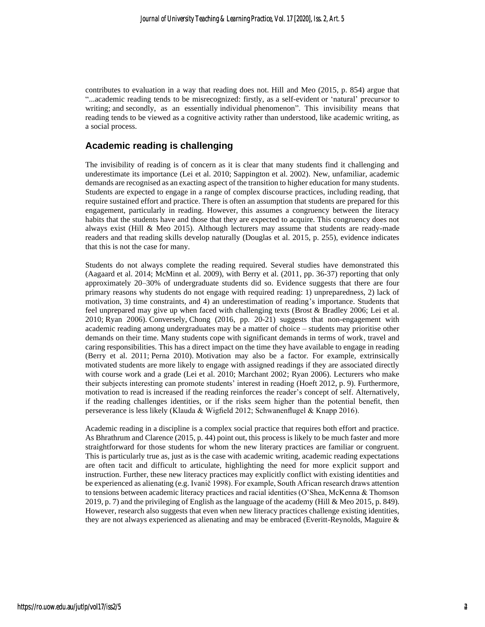contributes to evaluation in a way that reading does not. Hill and Meo (2015, p. 854) argue that "...academic reading tends to be misrecognized: firstly, as a self-evident or 'natural' precursor to writing; and secondly, as an essentially individual phenomenon". This invisibility means that reading tends to be viewed as a cognitive activity rather than understood, like academic writing, as a social process.

#### **Academic reading is challenging**

The invisibility of reading is of concern as it is clear that many students find it challenging and underestimate its importance (Lei et al. 2010; Sappington et al. 2002). New, unfamiliar, academic demands are recognised as an exacting aspect of the transition to higher education for many students. Students are expected to engage in a range of complex discourse practices, including reading, that require sustained effort and practice. There is often an assumption that students are prepared for this engagement, particularly in reading. However, this assumes a congruency between the literacy habits that the students have and those that they are expected to acquire. This congruency does not always exist (Hill & Meo 2015). Although lecturers may assume that students are ready-made readers and that reading skills develop naturally (Douglas et al. 2015, p. 255), evidence indicates that this is not the case for many.

Students do not always complete the reading required. Several studies have demonstrated this (Aagaard et al. 2014; McMinn et al. 2009), with Berry et al. (2011, pp. 36-37) reporting that only approximately 20–30% of undergraduate students did so. Evidence suggests that there are four primary reasons why students do not engage with required reading: 1) unpreparedness, 2) lack of motivation, 3) time constraints, and 4) an underestimation of reading's importance. Students that feel unprepared may give up when faced with challenging texts (Brost & Bradley 2006; Lei et al. 2010; Ryan 2006). Conversely, Chong (2016, pp. 20-21) suggests that non-engagement with academic reading among undergraduates may be a matter of choice – students may prioritise other demands on their time. Many students cope with significant demands in terms of work, travel and caring responsibilities. This has a direct impact on the time they have available to engage in reading (Berry et al. 2011; Perna 2010). Motivation may also be a factor. For example, extrinsically motivated students are more likely to engage with assigned readings if they are associated directly with course work and a grade (Lei et al. 2010; Marchant 2002; Ryan 2006). Lecturers who make their subjects interesting can promote students' interest in reading (Hoeft 2012, p. 9). Furthermore, motivation to read is increased if the reading reinforces the reader's concept of self. Alternatively, if the reading challenges identities, or if the risks seem higher than the potential benefit, then perseverance is less likely (Klauda & Wigfield 2012; Schwanenflugel & Knapp 2016).

Academic reading in a discipline is a complex social practice that requires both effort and practice. As Bhrathrum and Clarence (2015, p. 44) point out, this process is likely to be much faster and more straightforward for those students for whom the new literary practices are familiar or congruent. This is particularly true as, just as is the case with academic writing, academic reading expectations are often tacit and difficult to articulate, highlighting the need for more explicit support and instruction. Further, these new literacy practices may explicitly conflict with existing identities and be experienced as alienating (e.g. Ivanič 1998). For example, South African research draws attention to tensions between academic literacy practices and racial identities (O'Shea, McKenna & Thomson 2019, p. 7) and the privileging of English as the language of the academy (Hill & Meo 2015, p. 849). However, research also suggests that even when new literacy practices challenge existing identities, they are not always experienced as alienating and may be embraced (Everitt-Reynolds, Maguire &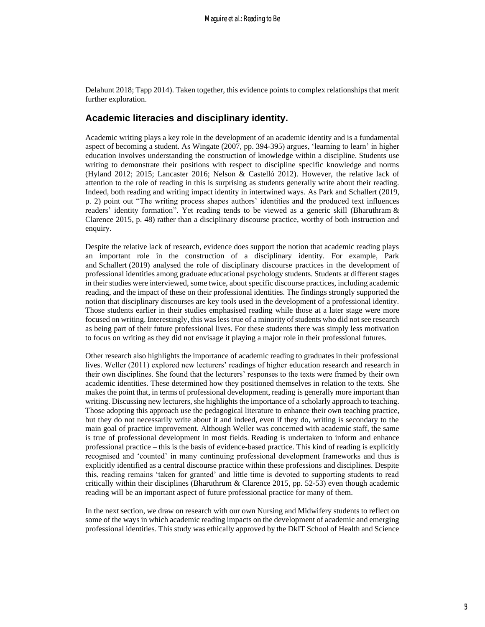Delahunt 2018; Tapp 2014). Taken together, this evidence points to complex relationships that merit further exploration.

#### **Academic literacies and disciplinary identity.**

Academic writing plays a key role in the development of an academic identity and is a fundamental aspect of becoming a student. As Wingate (2007, pp. 394-395) argues, 'learning to learn' in higher education involves understanding the construction of knowledge within a discipline. Students use writing to demonstrate their positions with respect to discipline specific knowledge and norms (Hyland 2012; 2015; Lancaster 2016; Nelson & Castelló 2012). However, the relative lack of attention to the role of reading in this is surprising as students generally write about their reading. Indeed, both reading and writing impact identity in intertwined ways. As Park and Schallert (2019, p. 2) point out "The writing process shapes authors' identities and the produced text influences readers' identity formation". Yet reading tends to be viewed as a generic skill (Bharuthram & Clarence 2015, p. 48) rather than a disciplinary discourse practice, worthy of both instruction and enquiry.

Despite the relative lack of research, evidence does support the notion that academic reading plays an important role in the construction of a disciplinary identity. For example, Park and Schallert (2019) analysed the role of disciplinary discourse practices in the development of professional identities among graduate educational psychology students. Students at different stages in their studies were interviewed, some twice, about specific discourse practices, including academic reading, and the impact of these on their professional identities. The findings strongly supported the notion that disciplinary discourses are key tools used in the development of a professional identity. Those students earlier in their studies emphasised reading while those at a later stage were more focused on writing. Interestingly, this was less true of a minority of students who did not see research as being part of their future professional lives. For these students there was simply less motivation to focus on writing as they did not envisage it playing a major role in their professional futures.

Other research also highlights the importance of academic reading to graduates in their professional lives. Weller (2011) explored new lecturers' readings of higher education research and research in their own disciplines. She found that the lecturers' responses to the texts were framed by their own academic identities. These determined how they positioned themselves in relation to the texts. She makes the point that, in terms of professional development, reading is generally more important than writing. Discussing new lecturers, she highlights the importance of a scholarly approach to teaching. Those adopting this approach use the pedagogical literature to enhance their own teaching practice, but they do not necessarily write about it and indeed, even if they do, writing is secondary to the main goal of practice improvement. Although Weller was concerned with academic staff, the same is true of professional development in most fields. Reading is undertaken to inform and enhance professional practice – this is the basis of evidence-based practice. This kind of reading is explicitly recognised and 'counted' in many continuing professional development frameworks and thus is explicitly identified as a central discourse practice within these professions and disciplines. Despite this, reading remains 'taken for granted' and little time is devoted to supporting students to read critically within their disciplines (Bharuthrum & Clarence 2015, pp. 52-53) even though academic reading will be an important aspect of future professional practice for many of them.

In the next section, we draw on research with our own Nursing and Midwifery students to reflect on some of the ways in which academic reading impacts on the development of academic and emerging professional identities. This study was ethically approved by the DkIT School of Health and Science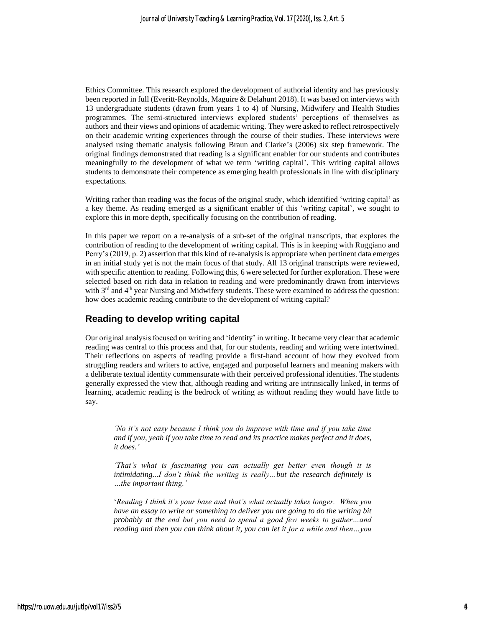Ethics Committee. This research explored the development of authorial identity and has previously been reported in full (Everitt-Reynolds, Maguire & Delahunt 2018). It was based on interviews with 13 undergraduate students (drawn from years 1 to 4) of Nursing, Midwifery and Health Studies programmes. The semi-structured interviews explored students' perceptions of themselves as authors and their views and opinions of academic writing. They were asked to reflect retrospectively on their academic writing experiences through the course of their studies. These interviews were analysed using thematic analysis following Braun and Clarke's (2006) six step framework. The original findings demonstrated that reading is a significant enabler for our students and contributes meaningfully to the development of what we term 'writing capital'. This writing capital allows students to demonstrate their competence as emerging health professionals in line with disciplinary expectations.

Writing rather than reading was the focus of the original study, which identified 'writing capital' as a key theme. As reading emerged as a significant enabler of this 'writing capital', we sought to explore this in more depth, specifically focusing on the contribution of reading.

In this paper we report on a re-analysis of a sub-set of the original transcripts, that explores the contribution of reading to the development of writing capital. This is in keeping with Ruggiano and Perry's (2019, p. 2) assertion that this kind of re-analysis is appropriate when pertinent data emerges in an initial study yet is not the main focus of that study. All 13 original transcripts were reviewed, with specific attention to reading. Following this, 6 were selected for further exploration. These were selected based on rich data in relation to reading and were predominantly drawn from interviews with  $3<sup>rd</sup>$  and  $4<sup>th</sup>$  year Nursing and Midwifery students. These were examined to address the question: how does academic reading contribute to the development of writing capital?

#### **Reading to develop writing capital**

Our original analysis focused on writing and 'identity' in writing. It became very clear that academic reading was central to this process and that, for our students, reading and writing were intertwined. Their reflections on aspects of reading provide a first-hand account of how they evolved from struggling readers and writers to active, engaged and purposeful learners and meaning makers with a deliberate textual identity commensurate with their perceived professional identities. The students generally expressed the view that, although reading and writing are intrinsically linked, in terms of learning, academic reading is the bedrock of writing as without reading they would have little to say.

*'No it's not easy because I think you do improve with time and if you take time and if you, yeah if you take time to read and its practice makes perfect and it does, it does.'* 

*'That's what is fascinating you can actually get better even though it is intimidating...I don't think the writing is really…but the research definitely is …the important thing.'*

'*Reading I think it's your base and that's what actually takes longer. When you have an essay to write or something to deliver you are going to do the writing bit probably at the end but you need to spend a good few weeks to gather…and reading and then you can think about it, you can let it for a while and then…you*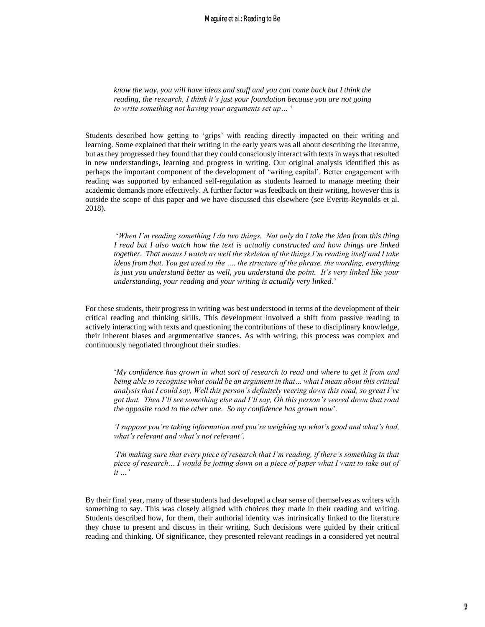*know the way, you will have ideas and stuff and you can come back but I think the reading, the research, I think it's just your foundation because you are not going to write something not having your arguments set up…* '

Students described how getting to 'grips' with reading directly impacted on their writing and learning. Some explained that their writing in the early years was all about describing the literature, but as they progressed they found that they could consciously interact with texts in ways that resulted in new understandings, learning and progress in writing. Our original analysis identified this as perhaps the important component of the development of 'writing capital'. Better engagement with reading was supported by enhanced self-regulation as students learned to manage meeting their academic demands more effectively. A further factor was feedback on their writing, however this is outside the scope of this paper and we have discussed this elsewhere (see Everitt-Reynolds et al. 2018).

'*When I'm reading something I do two things. Not only do I take the idea from this thing I read but I also watch how the text is actually constructed and how things are linked together. That means I watch as well the skeleton of the things I'm reading itself and I take ideas from that. You get used to the …. the structure of the phrase, the wording, everything is just you understand better as well, you understand the point. It's very linked like your understanding, your reading and your writing is actually very linked*.'

For these students, their progress in writing was best understood in terms of the development of their critical reading and thinking skills. This development involved a shift from passive reading to actively interacting with texts and questioning the contributions of these to disciplinary knowledge, their inherent biases and argumentative stances. As with writing, this process was complex and continuously negotiated throughout their studies.

'*My confidence has grown in what sort of research to read and where to get it from and being able to recognise what could be an argument in that… what I mean about this critical analysis that I could say, Well this person's definitely veering down this road, so great I've got that. Then I'll see something else and I'll say, Oh this person's veered down that road the opposite road to the other one. So my confidence has grown now*'.

*'I suppose you're taking information and you're weighing up what's good and what's bad, what's relevant and what's not relevant'.*

*'I'm making sure that every piece of research that I'm reading, if there's something in that piece of research… I would be jotting down on a piece of paper what I want to take out of it …'*

By their final year, many of these students had developed a clear sense of themselves as writers with something to say. This was closely aligned with choices they made in their reading and writing. Students described how, for them, their authorial identity was intrinsically linked to the literature they chose to present and discuss in their writing. Such decisions were guided by their critical reading and thinking. Of significance, they presented relevant readings in a considered yet neutral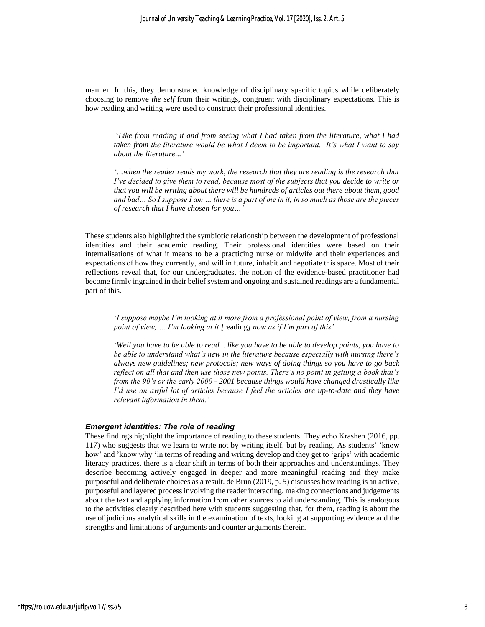manner. In this, they demonstrated knowledge of disciplinary specific topics while deliberately choosing to remove *the self* from their writings, congruent with disciplinary expectations. This is how reading and writing were used to construct their professional identities.

'*Like from reading it and from seeing what I had taken from the literature, what I had taken from the literature would be what I deem to be important. It's what I want to say about the literature...'*

*'…when the reader reads my work, the research that they are reading is the research that I've decided to give them to read, because most of the subjects that you decide to write or that you will be writing about there will be hundreds of articles out there about them, good and bad… So I suppose I am … there is a part of me in it, in so much as those are the pieces of research that I have chosen for you…'*

These students also highlighted the symbiotic relationship between the development of professional identities and their academic reading. Their professional identities were based on their internalisations of what it means to be a practicing nurse or midwife and their experiences and expectations of how they currently, and will in future, inhabit and negotiate this space. Most of their reflections reveal that, for our undergraduates, the notion of the evidence-based practitioner had become firmly ingrained in their belief system and ongoing and sustained readings are a fundamental part of this.

'*I suppose maybe I'm looking at it more from a professional point of view, from a nursing point of view, … I'm looking at it [*reading*] now as if I'm part of this'*

'*Well you have to be able to read... like you have to be able to develop points, you have to be able to understand what's new in the literature because especially with nursing there's always new guidelines; new protocols; new ways of doing things so you have to go back reflect on all that and then use those new points. There's no point in getting a book that's from the 90's or the early 2000 - 2001 because things would have changed drastically like I'd use an awful lot of articles because I feel the articles are up-to-date and they have relevant information in them.'* 

#### *Emergent identities: The role of reading*

These findings highlight the importance of reading to these students. They echo Krashen (2016, pp. 117) who suggests that we learn to write not by writing itself, but by reading. As students' 'know how' and 'know why 'in terms of reading and writing develop and they get to 'grips' with academic literacy practices, there is a clear shift in terms of both their approaches and understandings. They describe becoming actively engaged in deeper and more meaningful reading and they make purposeful and deliberate choices as a result. de Brun (2019, p. 5) discusses how reading is an active, purposeful and layered processinvolving the reader interacting, making connections and judgements about the text and applying information from other sources to aid understanding. This is analogous to the activities clearly described here with students suggesting that, for them, reading is about the use of judicious analytical skills in the examination of texts, looking at supporting evidence and the strengths and limitations of arguments and counter arguments therein.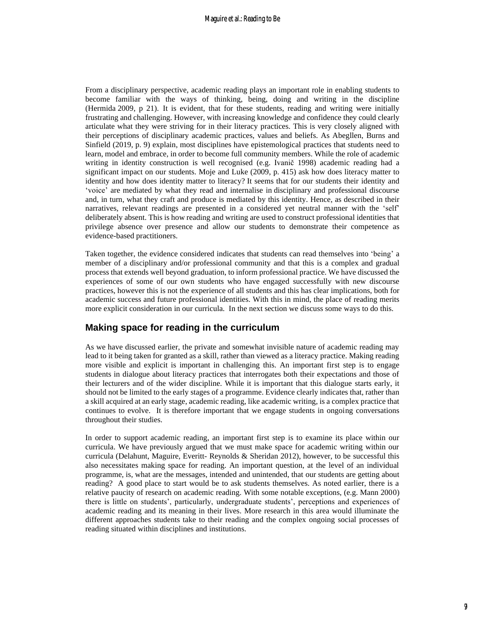From a disciplinary perspective, academic reading plays an important role in enabling students to become familiar with the ways of thinking, being, doing and writing in the discipline (Hermida 2009, p 21). It is evident, that for these students, reading and writing were initially frustrating and challenging. However, with increasing knowledge and confidence they could clearly articulate what they were striving for in their literacy practices. This is very closely aligned with their perceptions of disciplinary academic practices, values and beliefs. As Abegllen, Burns and Sinfield (2019, p. 9) explain, most disciplines have epistemological practices that students need to learn, model and embrace, in order to become full community members. While the role of academic writing in identity construction is well recognised (e.g. Ivanič 1998) academic reading had a significant impact on our students. Moje and Luke (2009, p. 415) ask how does literacy matter to identity and how does identity matter to literacy? It seems that for our students their identity and 'voice' are mediated by what they read and internalise in disciplinary and professional discourse and, in turn, what they craft and produce is mediated by this identity. Hence, as described in their narratives, relevant readings are presented in a considered yet neutral manner with the 'self' deliberately absent. This is how reading and writing are used to construct professional identities that privilege absence over presence and allow our students to demonstrate their competence as evidence-based practitioners.

Taken together, the evidence considered indicates that students can read themselves into 'being' a member of a disciplinary and/or professional community and that this is a complex and gradual process that extends well beyond graduation, to inform professional practice. We have discussed the experiences of some of our own students who have engaged successfully with new discourse practices, however this is not the experience of all students and this has clear implications, both for academic success and future professional identities. With this in mind, the place of reading merits more explicit consideration in our curricula. In the next section we discuss some ways to do this.

#### **Making space for reading in the curriculum**

As we have discussed earlier, the private and somewhat invisible nature of academic reading may lead to it being taken for granted as a skill, rather than viewed as a literacy practice. Making reading more visible and explicit is important in challenging this. An important first step is to engage students in dialogue about literacy practices that interrogates both their expectations and those of their lecturers and of the wider discipline. While it is important that this dialogue starts early, it should not be limited to the early stages of a programme. Evidence clearly indicates that, rather than a skill acquired at an early stage, academic reading, like academic writing, is a complex practice that continues to evolve. It is therefore important that we engage students in ongoing conversations throughout their studies.

In order to support academic reading, an important first step is to examine its place within our curricula. We have previously argued that we must make space for academic writing within our curricula (Delahunt, Maguire, Everitt- Reynolds & Sheridan 2012), however, to be successful this also necessitates making space for reading. An important question, at the level of an individual programme, is, what are the messages, intended and unintended, that our students are getting about reading? A good place to start would be to ask students themselves. As noted earlier, there is a relative paucity of research on academic reading. With some notable exceptions, (e.g. Mann 2000) there is little on students', particularly, undergraduate students', perceptions and experiences of academic reading and its meaning in their lives. More research in this area would illuminate the different approaches students take to their reading and the complex ongoing social processes of reading situated within disciplines and institutions.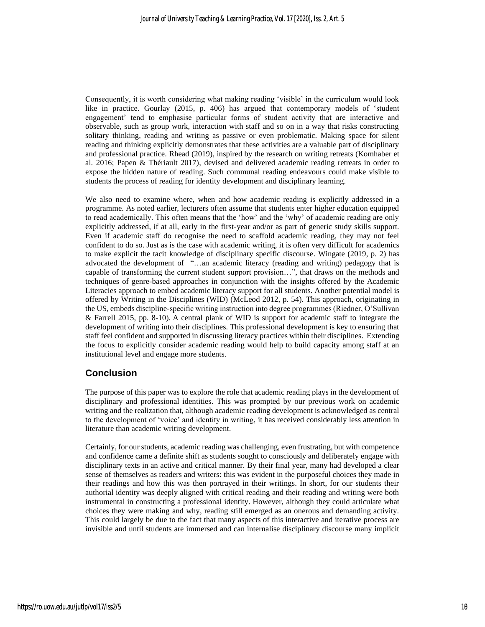Consequently, it is worth considering what making reading 'visible' in the curriculum would look like in practice. Gourlay (2015, p. 406) has argued that contemporary models of 'student engagement' tend to emphasise particular forms of student activity that are interactive and observable, such as group work, interaction with staff and so on in a way that risks constructing solitary thinking, reading and writing as passive or even problematic. Making space for silent reading and thinking explicitly demonstrates that these activities are a valuable part of disciplinary and professional practice. Rhead (2019), inspired by the research on writing retreats (Komhaber et al. 2016; Papen & Thériault 2017), devised and delivered academic reading retreats in order to expose the hidden nature of reading. Such communal reading endeavours could make visible to students the process of reading for identity development and disciplinary learning.

We also need to examine where, when and how academic reading is explicitly addressed in a programme. As noted earlier, lecturers often assume that students enter higher education equipped to read academically. This often means that the 'how' and the 'why' of academic reading are only explicitly addressed, if at all, early in the first-year and/or as part of generic study skills support. Even if academic staff do recognise the need to scaffold academic reading, they may not feel confident to do so. Just as is the case with academic writing, it is often very difficult for academics to make explicit the tacit knowledge of disciplinary specific discourse. Wingate (2019, p. 2) has advocated the development of "…an academic literacy (reading and writing) pedagogy that is capable of transforming the current student support provision…", that draws on the methods and techniques of genre-based approaches in conjunction with the insights offered by the Academic Literacies approach to embed academic literacy support for all students. Another potential model is offered by Writing in the Disciplines (WID) (McLeod 2012, p. 54). This approach, originating in the US, embeds discipline-specific writing instruction into degree programmes (Riedner, O'Sullivan & Farrell 2015, pp. 8-10). A central plank of WID is support for academic staff to integrate the development of writing into their disciplines. This professional development is key to ensuring that staff feel confident and supported in discussing literacy practices within their disciplines. Extending the focus to explicitly consider academic reading would help to build capacity among staff at an institutional level and engage more students.

#### **Conclusion**

The purpose of this paper was to explore the role that academic reading plays in the development of disciplinary and professional identities. This was prompted by our previous work on academic writing and the realization that, although academic reading development is acknowledged as central to the development of 'voice' and identity in writing, it has received considerably less attention in literature than academic writing development.

Certainly, for our students, academic reading was challenging, even frustrating, but with competence and confidence came a definite shift as students sought to consciously and deliberately engage with disciplinary texts in an active and critical manner. By their final year, many had developed a clear sense of themselves as readers and writers: this was evident in the purposeful choices they made in their readings and how this was then portrayed in their writings. In short, for our students their authorial identity was deeply aligned with critical reading and their reading and writing were both instrumental in constructing a professional identity. However, although they could articulate what choices they were making and why, reading still emerged as an onerous and demanding activity. This could largely be due to the fact that many aspects of this interactive and iterative process are invisible and until students are immersed and can internalise disciplinary discourse many implicit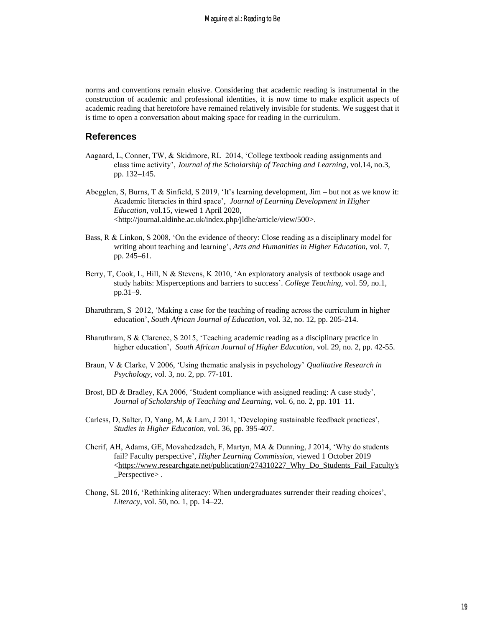norms and conventions remain elusive. Considering that academic reading is instrumental in the construction of academic and professional identities, it is now time to make explicit aspects of academic reading that heretofore have remained relatively invisible for students. We suggest that it is time to open a conversation about making space for reading in the curriculum.

#### **References**

- Aagaard, L, Conner, TW, & Skidmore, RL 2014, 'College textbook reading assignments and class time activity', *Journal of the Scholarship of Teaching and Learning*, vol.14, no.3, pp. 132–145.
- Abegglen, S, Burns, T & Sinfield, S 2019, 'It's learning development, Jim but not as we know it: Academic literacies in third space', *Journal of Learning Development in Higher Education*, vol.15, viewed 1 April 2020, [<http://journal.aldinhe.ac.uk/index.php/jldhe/article/view/500>](http://journal.aldinhe.ac.uk/index.php/jldhe/article/view/500).
- Bass, R & Linkon, S 2008, 'On the evidence of theory: Close reading as a disciplinary model for writing about teaching and learning', *Arts and Humanities in Higher Education,* vol. 7, pp. 245–61.
- Berry, T, Cook, L, Hill, N & Stevens, K 2010, 'An exploratory analysis of textbook usage and study habits: Misperceptions and barriers to success'. *College Teaching,* vol. 59, no.1, pp.31–9.
- Bharuthram, S 2012, 'Making a case for the teaching of reading across the curriculum in higher education', *South African Journal of Education*, vol. 32, no. 12, pp. 205-214.
- Bharuthram, S & Clarence, S 2015, 'Teaching academic reading as a disciplinary practice in higher education', *South African Journal of Higher Education,* vol. 29, no. 2, pp. 42-55.
- Braun, V & Clarke, V 2006, 'Using thematic analysis in psychology' *Qualitative Research in Psychology*, vol. 3, no. 2, pp. 77-101.
- Brost, BD & Bradley, KA 2006, 'Student compliance with assigned reading: A case study', *Journal of Scholarship of Teaching and Learning,* vol. 6, no. 2, pp. 101–11.
- Carless, D, Salter, D, Yang, M, & Lam, J 2011, 'Developing sustainable feedback practices', *Studies in Higher Education*, vol. 36, pp. 395-407.
- Cherif, AH, Adams, GE, Movahedzadeh, F, Martyn, MA & Dunning, J 2014, 'Why do students fail? Faculty perspective', *Higher Learning Commission,* viewed 1 October 2019 [<https://www.researchgate.net/publication/274310227\\_Why\\_Do\\_Students\\_Fail\\_Faculty's](https://www.researchgate.net/publication/274310227_Why_Do_Students_Fail_Faculty)  $Perspective$ .
- Chong, SL 2016, 'Rethinking aliteracy: When undergraduates surrender their reading choices', *Literacy*, vol. 50, no. 1, pp. 14–22.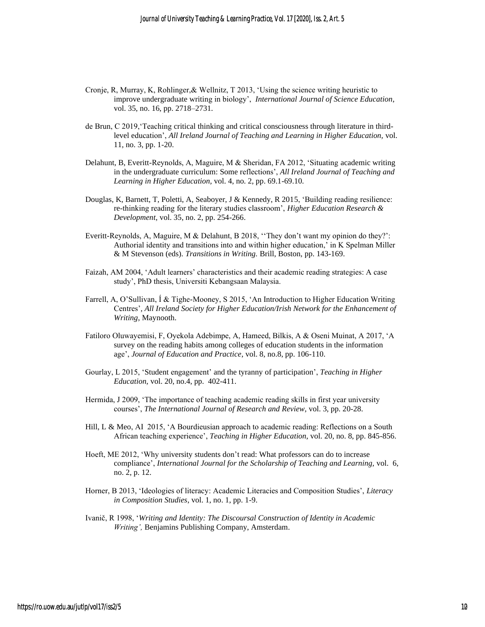- Cronje, R, Murray, K, Rohlinger,& Wellnitz, T 2013, 'Using the science writing heuristic to improve undergraduate writing in biology', *International Journal of Science Education*, vol. 35, no. 16, pp. 2718–2731.
- de Brun, C 2019,'Teaching critical thinking and critical consciousness through literature in thirdlevel education', *All Ireland Journal of Teaching and Learning in Higher Education,* vol. 11, no. 3, pp. 1-20.
- Delahunt, B, Everitt-Reynolds, A, Maguire, M & Sheridan, FA 2012, 'Situating academic writing in the undergraduate curriculum: Some reflections', *All Ireland Journal of Teaching and Learning in Higher Education,* vol. 4, no. 2, pp. 69.1-69.10.
- Douglas, K, Barnett, T, Poletti, A, Seaboyer, J & Kennedy, R 2015, 'Building reading resilience: re-thinking reading for the literary studies classroom', *Higher Education Research & Development*, vol. 35, no. 2, pp. 254-266.
- Everitt-Reynolds, A, Maguire, M & Delahunt, B 2018, ''They don't want my opinion do they?': Authorial identity and transitions into and within higher education,' in K Spelman Miller & M Stevenson (eds). *Transitions in Writing.* Brill, Boston, pp. 143-169.
- Faizah, AM 2004, 'Adult learners' characteristics and their academic reading strategies: A case study', PhD thesis, Universiti Kebangsaan Malaysia.
- Farrell, A, O'Sullivan, Í & Tighe-Mooney, S 2015, 'An Introduction to Higher Education Writing Centres'*, All Ireland Society for Higher Education/Irish Network for the Enhancement of Writing*, Maynooth.
- Fatiloro Oluwayemisi, F, Oyekola Adebimpe, A, Hameed, Bilkis, A & Oseni Muinat, A 2017, 'A survey on the reading habits among colleges of education students in the information age', *Journal of Education and Practice*, vol. 8, no.8, pp. 106-110.
- Gourlay, L 2015, 'Student engagement' and the tyranny of [participation'](https://iris.ucl.ac.uk/iris/publication/1113952/13), *Teaching in Higher Education,* vol. 20, no.4, pp. 402-411.
- Hermida, J 2009, 'The importance of teaching academic reading skills in first year university courses', *The International Journal of Research and Review*, vol. 3, pp. 20-28.
- Hill, L & Meo, AI 2015, 'A Bourdieusian approach to academic reading: Reflections on a South African teaching experience', *Teaching in Higher Education*, vol. 20, no. 8, pp. 845-856.
- Hoeft, ME 2012, 'Why university students don't read: What professors can do to increase compliance', *International Journal for the Scholarship of Teaching and Learning,* vol. 6, no. 2, p. 12.
- Horner, B 2013, 'Ideologies of literacy: Academic Literacies and Composition Studies', *Literacy in Composition Studies*, vol. 1, no. 1, pp. 1-9.
- Ivanič, R 1998, '*Writing and Identity: The Discoursal Construction of Identity in Academic Writing',* Benjamins Publishing Company, Amsterdam.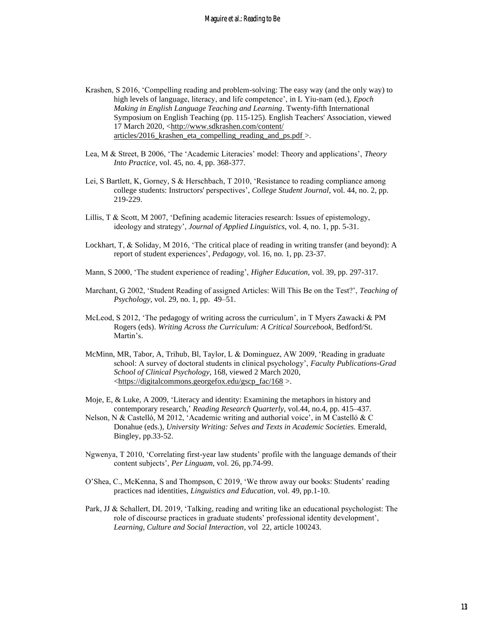Krashen, S 2016, 'Compelling reading and problem-solving: The easy way (and the only way) to high levels of language, literacy, and life competence', in L Yiu-nam (ed.), *Epoch Making in English Language Teaching and Learning*. Twenty-fifth International Symposium on English Teaching (pp. 115-125). English Teachers' Association, viewed 17 March 2020, <http://www.sdkrashen.com/content/ articles/2016 krashen eta compelling reading and ps.pdf  $>$ .

- Lea, M & Street, B 2006, 'The 'Academic Literacies' model: Theory and applications', *Theory Into Practice*, vol. 45, no. 4, pp. 368-377.
- Lei, S Bartlett, K, Gorney, S & Herschbach, T 2010, 'Resistance to reading compliance among college students: Instructors' perspectives', *College Student Journal*, vol. 44, no. 2, pp. 219-229.
- Lillis, T & Scott, M 2007, 'Defining academic literacies research: Issues of epistemology, ideology and strategy', *Journal of Applied Linguistics*, vol. 4, no. 1, pp. 5-31.
- Lockhart, T, & Soliday, M 2016, 'The critical place of reading in writing transfer (and beyond): A report of student experiences', *Pedagogy*, vol. 16, no. 1, pp. 23-37.
- Mann, S 2000, 'The student experience of reading', *Higher Education*, vol. 39, pp. 297-317.
- Marchant, G 2002, 'Student Reading of assigned Articles: Will This Be on the Test?', *Teaching of Psychology,* vol. 29, no. 1, pp. 49–51.
- McLeod, S 2012, 'The pedagogy of writing across the curriculum', in T Myers Zawacki & PM Rogers (eds). *Writing Across the Curriculum: A Critical Sourcebook*, Bedford/St. Martin's.
- McMinn, MR, Tabor, A, Trihub, Bl, Taylor, L & Dominguez, AW 2009, 'Reading in graduate school: A survey of doctoral students in clinical psychology', *Faculty Publications-Grad School of Clinical Psychology*, 168, viewed 2 March 2020, [<https://digitalcommons.georgefox.edu/gscp\\_fac/168](https://digitalcommons.georgefox.edu/gscp_fac/168) >.
- Moje, E, & Luke, A 2009, 'Literacy and identity: Examining the metaphors in history and contemporary research,' *Reading Research Quarterly*, vol.44, no.4, pp. 415–437.
- Nelson, N & Castelló, M 2012, 'Academic writing and authorial voice', in M Castelló & C Donahue (eds.), *University Writing: Selves and Texts in Academic Societies.* Emerald, Bingley, pp.33-52.
- Ngwenya, T 2010, 'Correlating first-year law students' profile with the language demands of their content subjects', *Per Linguam*, vol. 26, pp.74-99.
- O'Shea, C., McKenna, S and Thompson, C 2019, 'We throw away our books: Students' reading practices nad identities, *Linguistics and Education*, vol. 49, pp.1-10.
- Park, JJ & Schallert, DL 2019, 'Talking, reading and writing like an educational psychologist: The role of discourse practices in graduate students' professional identity development', *Learning, Culture and Social Interaction*, vol 22, article 100243.